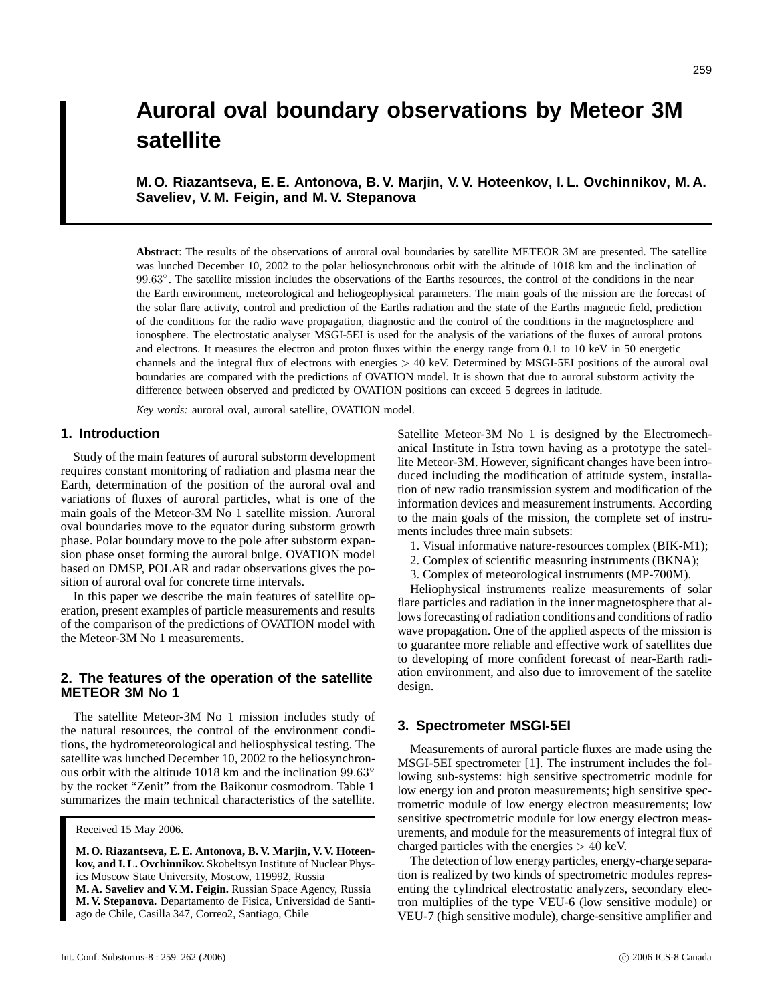# **Auroral oval boundary observations by Meteor 3M satellite**

**M. O. Riazantseva, E. E. Antonova, B. V. Marjin, V. V. Hoteenkov, I. L. Ovchinnikov, M. A. Saveliev, V. M. Feigin, and M. V. Stepanova**

**Abstract**: The results of the observations of auroral oval boundaries by satellite METEOR 3M are presented. The satellite was lunched December 10, 2002 to the polar heliosynchronous orbit with the altitude of 1018 km and the inclination of 99.63°. The satellite mission includes the observations of the Earths resources, the control of the conditions in the near the Earth environment, meteorological and heliogeophysical parameters. The main goals of the mission are the forecast of the solar flare activity, control and prediction of the Earths radiation and the state of the Earths magnetic field, prediction of the conditions for the radio wave propagation, diagnostic and the control of the conditions in the magnetosphere and ionosphere. The electrostatic analyser MSGI-5EI is used for the analysis of the variations of the fluxes of auroral protons and electrons. It measures the electron and proton fluxes within the energy range from 0.1 to 10 keV in 50 energetic channels and the integral flux of electrons with energies > 40 keV. Determined by MSGI-5EI positions of the auroral oval boundaries are compared with the predictions of OVATION model. It is shown that due to auroral substorm activity the difference between observed and predicted by OVATION positions can exceed 5 degrees in latitude.

*Key words:* auroral oval, auroral satellite, OVATION model.

# **1. Introduction**

Study of the main features of auroral substorm development requires constant monitoring of radiation and plasma near the Earth, determination of the position of the auroral oval and variations of fluxes of auroral particles, what is one of the main goals of the Meteor-3M No 1 satellite mission. Auroral oval boundaries move to the equator during substorm growth phase. Polar boundary move to the pole after substorm expansion phase onset forming the auroral bulge. OVATION model based on DMSP, POLAR and radar observations gives the position of auroral oval for concrete time intervals.

In this paper we describe the main features of satellite operation, present examples of particle measurements and results of the comparison of the predictions of OVATION model with the Meteor-3M No 1 measurements.

# **2. The features of the operation of the satellite METEOR 3M No 1**

The satellite Meteor-3M No 1 mission includes study of the natural resources, the control of the environment conditions, the hydrometeorological and heliosphysical testing. The satellite was lunched December 10, 2002 to the heliosynchronous orbit with the altitude 1018 km and the inclination 99.63◦ by the rocket "Zenit" from the Baikonur cosmodrom. Table 1 summarizes the main technical characteristics of the satellite.

**M. O. Riazantseva, E. E. Antonova, B. V. Marjin, V. V. Hoteenkov, and I. L. Ovchinnikov.** Skobeltsyn Institute of Nuclear Physics Moscow State University, Moscow, 119992, Russia **M. A. Saveliev and V. M. Feigin.** Russian Space Agency, Russia **M. V. Stepanova.** Departamento de Fisica, Universidad de Santiago de Chile, Casilla 347, Correo2, Santiago, Chile

Satellite Meteor-3M No 1 is designed by the Electromechanical Institute in Istra town having as a prototype the satellite Meteor-3M. However, significant changes have been introduced including the modification of attitude system, installation of new radio transmission system and modification of the information devices and measurement instruments. According to the main goals of the mission, the complete set of instruments includes three main subsets:

- 1. Visual informative nature-resources complex (BIK-M1);
- 2. Complex of scientific measuring instruments (BKNA);
- 3. Complex of meteorological instruments (MP-700M).

Heliophysical instruments realize measurements of solar flare particles and radiation in the inner magnetosphere that allows forecasting of radiation conditions and conditions of radio wave propagation. One of the applied aspects of the mission is to guarantee more reliable and effective work of satellites due to developing of more confident forecast of near-Earth radiation environment, and also due to imrovement of the satelite design.

#### **3. Spectrometer MSGI-5EI**

Measurements of auroral particle fluxes are made using the MSGI-5EI spectrometer [1]. The instrument includes the following sub-systems: high sensitive spectrometric module for low energy ion and proton measurements; high sensitive spectrometric module of low energy electron measurements; low sensitive spectrometric module for low energy electron measurements, and module for the measurements of integral flux of charged particles with the energies  $> 40$  keV.

The detection of low energy particles, energy-charge separation is realized by two kinds of spectrometric modules representing the cylindrical electrostatic analyzers, secondary electron multiplies of the type VEU-6 (low sensitive module) or VEU-7 (high sensitive module), charge-sensitive amplifier and

Received 15 May 2006.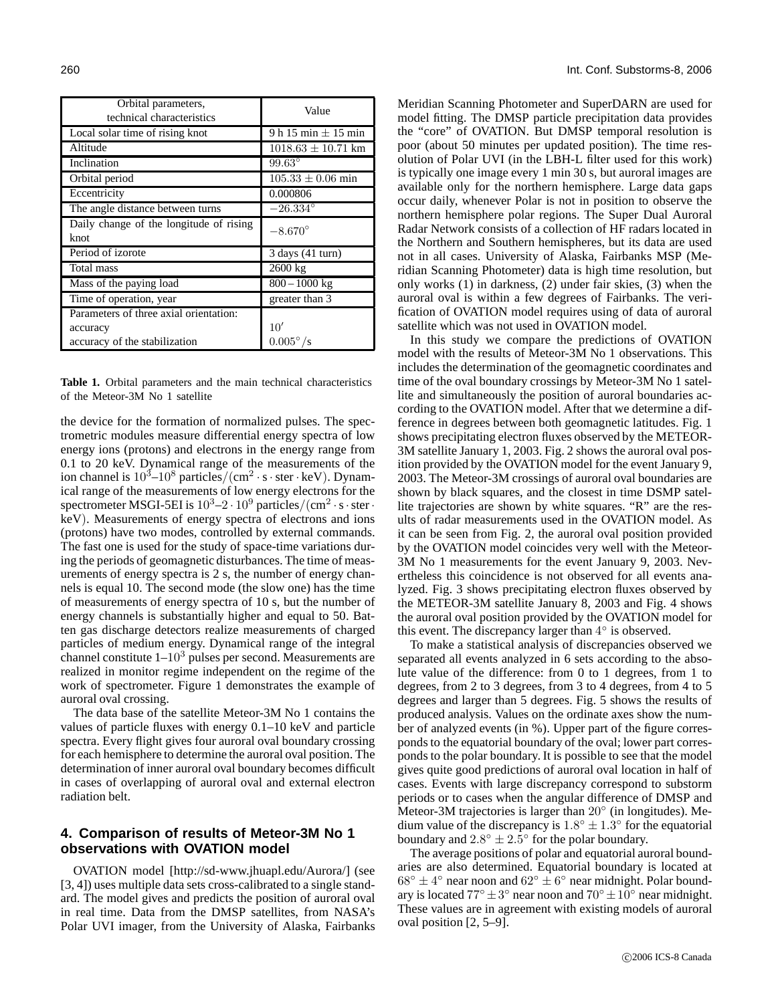| Orbital parameters,                     | Value                   |
|-----------------------------------------|-------------------------|
| technical characteristics               |                         |
| Local solar time of rising knot         | 9 h 15 min $\pm$ 15 min |
| Altitude                                | $1018.63 \pm 10.71$ km  |
| Inclination                             | $99.63^\circ$           |
| Orbital period                          | $105.33 \pm 0.06$ min   |
| Eccentricity                            | 0.000806                |
| The angle distance between turns        | $-26.334^{\circ}$       |
| Daily change of the longitude of rising | $-8.670^{\circ}$        |
| knot                                    |                         |
| Period of izorote                       | $3$ days $(41$ turn)    |
| Total mass                              | 2600 kg                 |
| Mass of the paying load                 | $800 - 1000$ kg         |
| Time of operation, year                 | greater than 3          |
| Parameters of three axial orientation:  |                         |
| accuracy                                | 10'                     |
| accuracy of the stabilization           | $0.005^{\circ}/s$       |

**Table 1.** Orbital parameters and the main technical characteristics of the Meteor-3M No 1 satellite

the device for the formation of normalized pulses. The spectrometric modules measure differential energy spectra of low energy ions (protons) and electrons in the energy range from 0.1 to 20 keV. Dynamical range of the measurements of the ion channel is  $10^3 - 10^8$  particles/(cm<sup>2</sup> · s · ster · keV). Dynamical range of the measurements of low energy electrons for the spectrometer MSGI-5EI is  $10^3 - 2 \cdot 10^9$  particles/(cm<sup>2</sup> · s · ster · keV). Measurements of energy spectra of electrons and ions (protons) have two modes, controlled by external commands. The fast one is used for the study of space-time variations during the periods of geomagnetic disturbances. The time of measurements of energy spectra is 2 s, the number of energy channels is equal 10. The second mode (the slow one) has the time of measurements of energy spectra of 10 s, but the number of energy channels is substantially higher and equal to 50. Batten gas discharge detectors realize measurements of charged particles of medium energy. Dynamical range of the integral channel constitute  $1-10<sup>3</sup>$  pulses per second. Measurements are realized in monitor regime independent on the regime of the work of spectrometer. Figure 1 demonstrates the example of auroral oval crossing.

The data base of the satellite Meteor-3M No 1 contains the values of particle fluxes with energy 0.1–10 keV and particle spectra. Every flight gives four auroral oval boundary crossing for each hemisphere to determine the auroral oval position. The determination of inner auroral oval boundary becomes difficult in cases of overlapping of auroral oval and external electron radiation belt.

### **4. Comparison of results of Meteor-3M No 1 observations with OVATION model**

OVATION model [http://sd-www.jhuapl.edu/Aurora/] (see [3, 4]) uses multiple data sets cross-calibrated to a single standard. The model gives and predicts the position of auroral oval in real time. Data from the DMSP satellites, from NASA's Polar UVI imager, from the University of Alaska, Fairbanks Meridian Scanning Photometer and SuperDARN are used for model fitting. The DMSP particle precipitation data provides the "core" of OVATION. But DMSP temporal resolution is poor (about 50 minutes per updated position). The time resolution of Polar UVI (in the LBH-L filter used for this work) is typically one image every 1 min 30 s, but auroral images are available only for the northern hemisphere. Large data gaps occur daily, whenever Polar is not in position to observe the northern hemisphere polar regions. The Super Dual Auroral Radar Network consists of a collection of HF radars located in the Northern and Southern hemispheres, but its data are used not in all cases. University of Alaska, Fairbanks MSP (Meridian Scanning Photometer) data is high time resolution, but only works (1) in darkness, (2) under fair skies, (3) when the auroral oval is within a few degrees of Fairbanks. The verification of OVATION model requires using of data of auroral satellite which was not used in OVATION model.

In this study we compare the predictions of OVATION model with the results of Meteor-3M No 1 observations. This includes the determination of the geomagnetic coordinates and time of the oval boundary crossings by Meteor-3M No 1 satellite and simultaneously the position of auroral boundaries according to the OVATION model. After that we determine a difference in degrees between both geomagnetic latitudes. Fig. 1 shows precipitating electron fluxes observed by the METEOR-3M satellite January 1, 2003. Fig. 2 shows the auroral oval position provided by the OVATION model for the event January 9, 2003. The Meteor-3M crossings of auroral oval boundaries are shown by black squares, and the closest in time DSMP satellite trajectories are shown by white squares. "R" are the results of radar measurements used in the OVATION model. As it can be seen from Fig. 2, the auroral oval position provided by the OVATION model coincides very well with the Meteor-3M No 1 measurements for the event January 9, 2003. Nevertheless this coincidence is not observed for all events analyzed. Fig. 3 shows precipitating electron fluxes observed by the METEOR-3M satellite January 8, 2003 and Fig. 4 shows the auroral oval position provided by the OVATION model for this event. The discrepancy larger than  $4^\circ$  is observed.

To make a statistical analysis of discrepancies observed we separated all events analyzed in 6 sets according to the absolute value of the difference: from 0 to 1 degrees, from 1 to degrees, from 2 to 3 degrees, from 3 to 4 degrees, from 4 to 5 degrees and larger than 5 degrees. Fig. 5 shows the results of produced analysis. Values on the ordinate axes show the number of analyzed events (in %). Upper part of the figure corresponds to the equatorial boundary of the oval; lower part corresponds to the polar boundary. It is possible to see that the model gives quite good predictions of auroral oval location in half of cases. Events with large discrepancy correspond to substorm periods or to cases when the angular difference of DMSP and Meteor-3M trajectories is larger than 20◦ (in longitudes). Medium value of the discrepancy is  $1.8^{\circ} \pm 1.3^{\circ}$  for the equatorial boundary and  $2.8^{\circ} \pm 2.5^{\circ}$  for the polar boundary.

The average positions of polar and equatorial auroral boundaries are also determined. Equatorial boundary is located at  $68^\circ \pm 4^\circ$  near noon and  $62^\circ \pm 6^\circ$  near midnight. Polar boundary is located  $77^\circ \pm 3^\circ$  near noon and  $70^\circ \pm 10^\circ$  near midnight. These values are in agreement with existing models of auroral oval position [2, 5–9].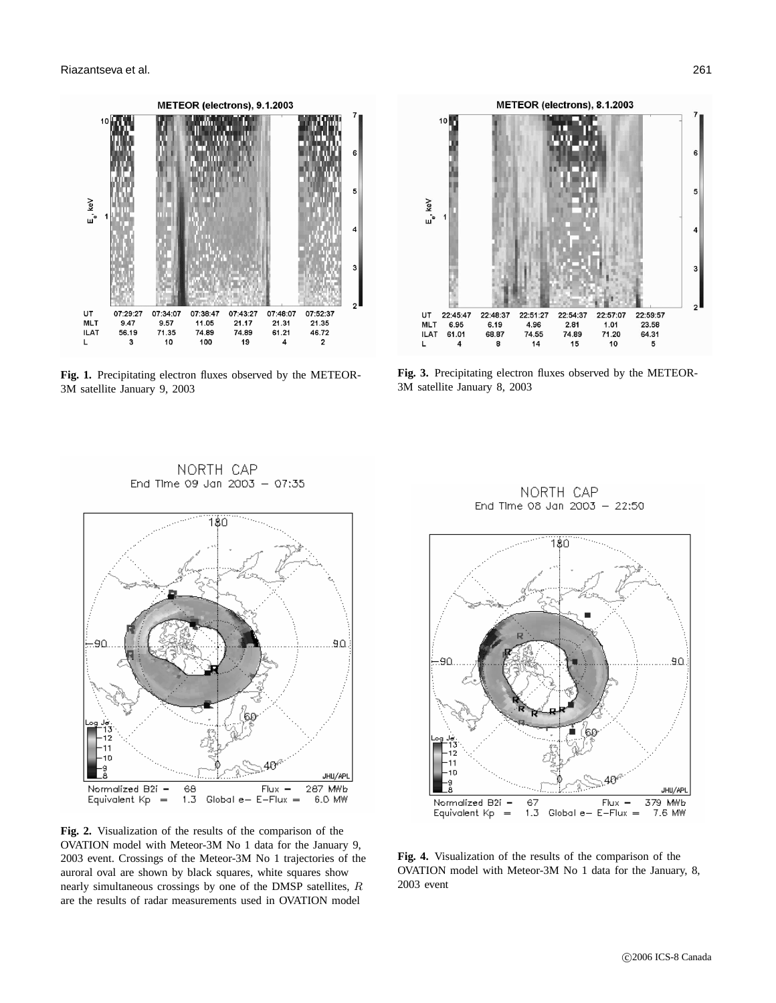

**Fig. 1.** Precipitating electron fluxes observed by the METEOR-3M satellite January 9, 2003

NORTH CAP



**Fig. 3.** Precipitating electron fluxes observed by the METEOR-3M satellite January 8, 2003

NORTH CAP



**Fig. 2.** Visualization of the results of the comparison of the OVATION model with Meteor-3M No 1 data for the January 9, 2003 event. Crossings of the Meteor-3M No 1 trajectories of the auroral oval are shown by black squares, white squares show nearly simultaneous crossings by one of the DMSP satellites, R are the results of radar measurements used in OVATION model

End Time 08 Jan 2003 - 22:50 180 90 JHU/APL Normalized B2i -67 Flux 379 MWb Equivalent Kp  $\bar{ }$  $1.3$  Global e- $E-Flux =$ 7.6 MW

**Fig. 4.** Visualization of the results of the comparison of the OVATION model with Meteor-3M No 1 data for the January, 8, 2003 event